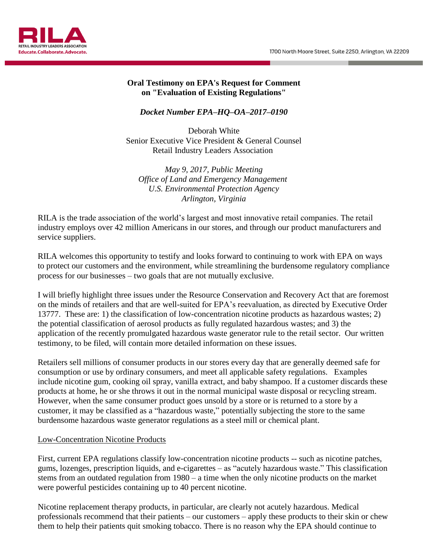1700 North Moore Street, Suite 2250, Arlington, VA 22209



#### **Oral Testimony on EPA's Request for Comment on "Evaluation of Existing Regulations"**

# *Docket Number EPA–HQ–OA–2017–0190*

Deborah White Senior Executive Vice President & General Counsel Retail Industry Leaders Association

*May 9, 2017, Public Meeting Office of Land and Emergency Management U.S. Environmental Protection Agency Arlington, Virginia*

RILA is the trade association of the world's largest and most innovative retail companies. The retail industry employs over 42 million Americans in our stores, and through our product manufacturers and service suppliers.

RILA welcomes this opportunity to testify and looks forward to continuing to work with EPA on ways to protect our customers and the environment, while streamlining the burdensome regulatory compliance process for our businesses – two goals that are not mutually exclusive.

I will briefly highlight three issues under the Resource Conservation and Recovery Act that are foremost on the minds of retailers and that are well-suited for EPA's reevaluation, as directed by Executive Order 13777. These are: 1) the classification of low-concentration nicotine products as hazardous wastes; 2) the potential classification of aerosol products as fully regulated hazardous wastes; and 3) the application of the recently promulgated hazardous waste generator rule to the retail sector. Our written testimony, to be filed, will contain more detailed information on these issues.

Retailers sell millions of consumer products in our stores every day that are generally deemed safe for consumption or use by ordinary consumers, and meet all applicable safety regulations. Examples include nicotine gum, cooking oil spray, vanilla extract, and baby shampoo. If a customer discards these products at home, he or she throws it out in the normal municipal waste disposal or recycling stream. However, when the same consumer product goes unsold by a store or is returned to a store by a customer, it may be classified as a "hazardous waste," potentially subjecting the store to the same burdensome hazardous waste generator regulations as a steel mill or chemical plant.

#### Low-Concentration Nicotine Products

First, current EPA regulations classify low-concentration nicotine products -- such as nicotine patches, gums, lozenges, prescription liquids, and e-cigarettes – as "acutely hazardous waste." This classification stems from an outdated regulation from 1980 – a time when the only nicotine products on the market were powerful pesticides containing up to 40 percent nicotine.

Nicotine replacement therapy products, in particular, are clearly not acutely hazardous. Medical professionals recommend that their patients – our customers – apply these products to their skin or chew them to help their patients quit smoking tobacco. There is no reason why the EPA should continue to